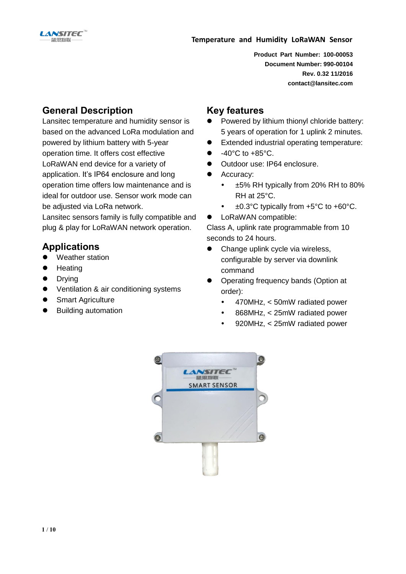

**Product Part Number: 100-00053 Document Number: 990-00104 Rev. 0.32 11/2016 contact@lansitec.com**

## **General Description**

Lansitec temperature and humidity sensor is based on the advanced LoRa modulation and powered by lithium battery with 5-year operation time. It offers cost effective LoRaWAN end device for a variety of application. It's IP64 enclosure and long operation time offers low maintenance and is ideal for outdoor use. Sensor work mode can be adjusted via LoRa network.

Lansitec sensors family is fully compatible and plug & play for LoRaWAN network operation.

## **Applications**

- Weather station
- **Heating**
- **•** Drying
- Ventilation & air conditioning systems
- Smart Agriculture
- **•** Building automation

## **Key features**

- Powered by lithium thionyl chloride battery: 5 years of operation for 1 uplink 2 minutes.
- Extended industrial operating temperature:
- $\bullet$  -40°C to +85°C.
- Outdoor use: IP64 enclosure.
- Accuracy:
	- $\cdot$  ±5% RH typically from 20% RH to 80% RH at 25°C.
	- ±0.3°C typically from +5°C to +60°C.
- LoRaWAN compatible:

Class A, uplink rate programmable from 10 seconds to 24 hours.

- Change uplink cycle via wireless, configurable by server via downlink command
- Operating frequency bands (Option at order):
	- 470MHz, < 50mW radiated power
	- 868MHz, < 25mW radiated power
	- 920MHz, < 25mW radiated power

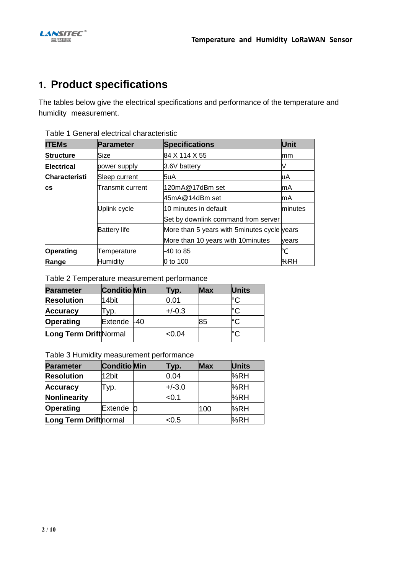

# **1. Product specifications**

The tables below give the electrical specifications and performance of the temperature and humidity measurement.

| <b>ITEMs</b>                      | <b>Parameter</b>    | <b>Specifications</b>                        | Unit    |  |
|-----------------------------------|---------------------|----------------------------------------------|---------|--|
| <b>Structure</b>                  | Size                | 84 X 114 X 55                                | mm      |  |
| <b>Electrical</b><br>power supply |                     | 3.6V battery                                 | N       |  |
| Characteristi<br>Sleep current    |                     | 5uA                                          | uA      |  |
| <b>cs</b>                         | Transmit current    | 120mA@17dBm set                              | lmA     |  |
|                                   |                     | 45mA@14dBm set                               | mA      |  |
|                                   | Uplink cycle        | 10 minutes in default                        | minutes |  |
|                                   |                     | Set by downlink command from server          |         |  |
|                                   | <b>Battery life</b> | More than 5 years with 5 minutes cycle years |         |  |
|                                   |                     | More than 10 years with 10 minutes           | vears   |  |
| Operating                         | Temperature         | -40 to 85                                    |         |  |
| Range                             | Humiditv            | 0 to 100                                     | %RH     |  |

Table 1 General electrical characteristic

Table 2 Temperature measurement performance

| <b>Parameter</b>              | <b>Conditio Min</b> | Typ.     | <b>Max</b> | <b>Units</b> |
|-------------------------------|---------------------|----------|------------|--------------|
| <b>Resolution</b>             | 14bit               | 0.01     |            | ľС           |
| Accuracy                      | VD.                 | $+/-0.3$ |            |              |
| Operating                     | Extende -40         |          | 85         | °С           |
| <b>Long Term Drift Normal</b> |                     | <0.04    |            | ŀC           |

Table 3 Humidity measurement performance

| <b>Parameter</b>              | <b>Conditio</b> Min | Гур.     | <b>Max</b> | <b>Units</b> |
|-------------------------------|---------------------|----------|------------|--------------|
| <b>Resolution</b>             | 12bit               | 0.04     |            | %RH          |
| <b>Accuracy</b>               | -ур.                | $+/-3.0$ |            | %RH          |
| Nonlinearity                  |                     | < 0.1    |            | %RH          |
| <b>Operating</b>              | Extende 0           |          | 100        | %RH          |
| <b>Long Term Drift</b> normal |                     | <0.5     |            | %RH          |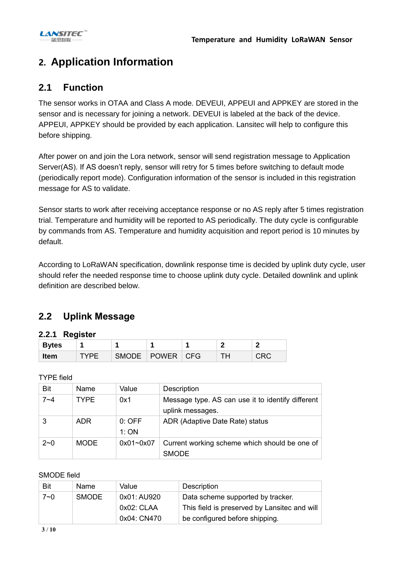# **2. Application Information**

## **2.1 Function**

The sensor works in OTAA and Class A mode. DEVEUI, APPEUI and APPKEY are stored in the sensor and is necessary for joining a network. DEVEUI is labeled at the back of the device. APPEUI, APPKEY should be provided by each application. Lansitec will help to configure this before shipping.

After power on and join the Lora network, sensor will send registration message to Application Server(AS). If AS doesn't reply, sensor will retry for 5 times before switching to default mode (periodically report mode). Configuration information of the sensor is included in this registration message for AS to validate.

Sensor starts to work after receiving acceptance response or no AS reply after 5 times registration trial. Temperature and humidity will be reported to AS periodically. The duty cycle is configurable by commands from AS. Temperature and humidity acquisition and report period is 10 minutes by default.

According to LoRaWAN specification, downlink response time is decided by uplink duty cycle, user should refer the needed response time to choose uplink duty cycle. Detailed downlink and uplink definition are described below.

## **2.2 Uplink Message**

### **2.2.1 Register**

| <b>Bytes</b> |              |              |            |  |
|--------------|--------------|--------------|------------|--|
| <b>Item</b>  | <b>SMODE</b> | <b>POWER</b> | <b>CFG</b> |  |

TYPE field

| <b>Bit</b> | Name        | Value         | Description                                                           |
|------------|-------------|---------------|-----------------------------------------------------------------------|
| $7 - 4$    | <b>TYPF</b> | 0x1           | Message type. AS can use it to identify different<br>uplink messages. |
|            |             |               |                                                                       |
|            | <b>ADR</b>  | $0:$ OFF      | ADR (Adaptive Date Rate) status                                       |
|            |             | 1:ON          |                                                                       |
| $2 - 0$    | <b>MODE</b> | $0x01 - 0x07$ | Current working scheme which should be one of                         |
|            |             |               | <b>SMODE</b>                                                          |

### SMODE field

| Bit | <b>Name</b>  | Value         | Description                                  |
|-----|--------------|---------------|----------------------------------------------|
| 7~0 | <b>SMODE</b> | 0x01: AU920   | Data scheme supported by tracker.            |
|     |              | $0x02$ : CLAA | This field is preserved by Lansitec and will |
|     |              | 0x04: CN470   | be configured before shipping.               |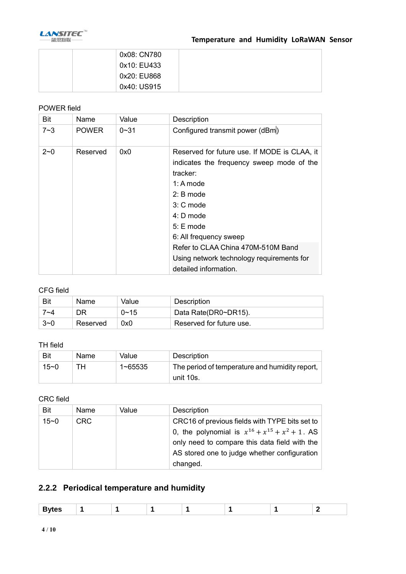

| 0x08: CN780 |  |
|-------------|--|
| 0x10: EU433 |  |
| 0x20: EU868 |  |
| 0x40: US915 |  |

### POWER field

| Bit     | Name         | Value    | Description                                                                                                                                                                                                                                                                                                          |
|---------|--------------|----------|----------------------------------------------------------------------------------------------------------------------------------------------------------------------------------------------------------------------------------------------------------------------------------------------------------------------|
| $7 - 3$ | <b>POWER</b> | $0 - 31$ | Configured transmit power (dBm)                                                                                                                                                                                                                                                                                      |
| $2 - 0$ | Reserved     | 0x0      | Reserved for future use. If MODE is CLAA, it<br>indicates the frequency sweep mode of the<br>tracker:<br>1: A mode<br>$2: B$ mode<br>$3: C$ mode<br>$4: D$ mode<br>$5: E$ mode<br>6: All frequency sweep<br>Refer to CLAA China 470M-510M Band<br>Using network technology requirements for<br>detailed information. |

### CFG field

| Bit     | <b>Name</b> | Value       | Description              |
|---------|-------------|-------------|--------------------------|
| 7∼4     |             | $0 \sim 15$ | Data Rate(DR0~DR15).     |
| $3 - 0$ | Reserved    | 0x0         | Reserved for future use. |

#### TH field

| Bit      | <b>Name</b> | Value   | Description                                                 |
|----------|-------------|---------|-------------------------------------------------------------|
| $15 - 0$ | тн          | 1~65535 | The period of temperature and humidity report,<br>unit 10s. |

## CRC field

| Bit      | <b>Name</b> | Value | Description                                           |
|----------|-------------|-------|-------------------------------------------------------|
| $15 - 0$ | CRC.        |       | CRC16 of previous fields with TYPE bits set to        |
|          |             |       | 0, the polynomial is $x^{16} + x^{15} + x^2 + 1$ . AS |
|          |             |       | only need to compare this data field with the         |
|          |             |       | AS stored one to judge whether configuration          |
|          |             |       | changed.                                              |

## **2.2.2 Periodical temperature and humidity**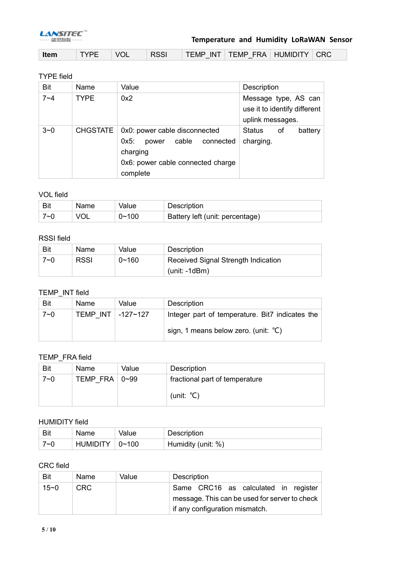

## **Temperature and Humidity LoRaWAN Sensor**

| ∣ Item | TYPE | VOL <sup>I</sup> | <b>RSSI</b> |  | TEMP INT   TEMP FRA   HUMIDITY   CRC |  |  |
|--------|------|------------------|-------------|--|--------------------------------------|--|--|
|--------|------|------------------|-------------|--|--------------------------------------|--|--|

#### TYPE field

| <b>Bit</b> | Name            | Value                                                                                                                          | <b>Description</b>                                                       |
|------------|-----------------|--------------------------------------------------------------------------------------------------------------------------------|--------------------------------------------------------------------------|
| $7 - 4$    | <b>TYPE</b>     | 0x2                                                                                                                            | Message type, AS can<br>use it to identify different<br>uplink messages. |
| $3 - 0$    | <b>CHGSTATE</b> | 0x0: power cable disconnected<br>power cable connected<br>$0x5$ :<br>charging<br>0x6: power cable connected charge<br>complete | Status<br>battery<br>οf<br>charging.                                     |

### VOL field

| Bit | Name | Value | Description                     |
|-----|------|-------|---------------------------------|
| 7∼∩ |      | 0~100 | Battery left (unit: percentage) |

#### RSSI field

| Bit     | Name        | Value     | Description                         |
|---------|-------------|-----------|-------------------------------------|
| $7 - 0$ | <b>RSSI</b> | $0 - 160$ | Received Signal Strength Indication |
|         |             |           | $(unit: -1dBm)$                     |

#### TEMP\_INT field

| Bit | <b>Name</b>           | Value | Description                                     |
|-----|-----------------------|-------|-------------------------------------------------|
| 7~0 | TEMP INT $-127 - 127$ |       | Integer part of temperature. Bit7 indicates the |
|     |                       |       | sign, 1 means below zero. (unit: $^{\circ}$ C)  |

## TEMP\_FRA field

| Bit     | Name                       | Value | Description                    |
|---------|----------------------------|-------|--------------------------------|
| $7 - 0$ | TEMP FRA $\vert 0 \sim 99$ |       | fractional part of temperature |
|         |                            |       | (unit: $°C$ )                  |

## HUMIDITY field

| Bit     | Name             | Value | Description        |
|---------|------------------|-------|--------------------|
| $7 - 0$ | HUMIDITY   0~100 |       | Humidity (unit: %) |

### CRC field

| Bit  | Name. | Value | Description                                   |
|------|-------|-------|-----------------------------------------------|
| 15~0 | CRC.  |       | Same CRC16 as calculated in register          |
|      |       |       | message. This can be used for server to check |
|      |       |       | if any configuration mismatch.                |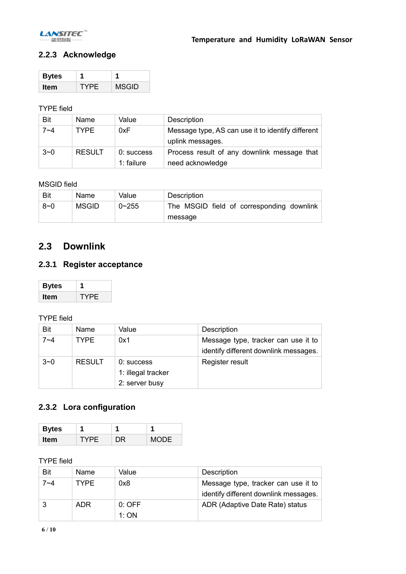

## **2.2.3 Acknowledge**

| <b>Bytes</b> |     |              |
|--------------|-----|--------------|
| ltem         | YPF | <b>MSGID</b> |

## TYPE field

| <b>Bit</b> | Name          | Value                      | Description                                                           |
|------------|---------------|----------------------------|-----------------------------------------------------------------------|
| 7~4        | <b>TYPF</b>   | 0xF                        | Message type, AS can use it to identify different<br>uplink messages. |
| $3 - 0$    | <b>RESULT</b> | $0:$ success<br>1: failure | Process result of any downlink message that<br>need acknowledge       |

## MSGID field

| Bit     | Name  | Value     | Description                               |
|---------|-------|-----------|-------------------------------------------|
| $8 - 0$ | MSGID | $0 - 255$ | The MSGID field of corresponding downlink |
|         |       |           | message                                   |

## **2.3 Downlink**

## **2.3.1 Register acceptance**

| <b>Bytes</b> |      |
|--------------|------|
| Item         | ⁄ PF |

### TYPE field

| Bit     | Name          | Value                                              | Description                                                                  |
|---------|---------------|----------------------------------------------------|------------------------------------------------------------------------------|
| $7 - 4$ | <b>TYPF</b>   | 0x1                                                | Message type, tracker can use it to<br>identify different downlink messages. |
| $3 - 0$ | <b>RESULT</b> | 0: success<br>1: illegal tracker<br>2: server busy | Register result                                                              |

## **2.3.2 Lora configuration**

| <b>Bytes</b> |     |    |      |
|--------------|-----|----|------|
| <b>Item</b>  | YPE | ЭR | MODE |

## TYPE field

| Bit | Name        | Value            | Description                                                                  |
|-----|-------------|------------------|------------------------------------------------------------------------------|
| 7~4 | <b>TYPE</b> | 0x8              | Message type, tracker can use it to<br>identify different downlink messages. |
|     | ADR         | $0:$ OFF<br>1:ON | ADR (Adaptive Date Rate) status                                              |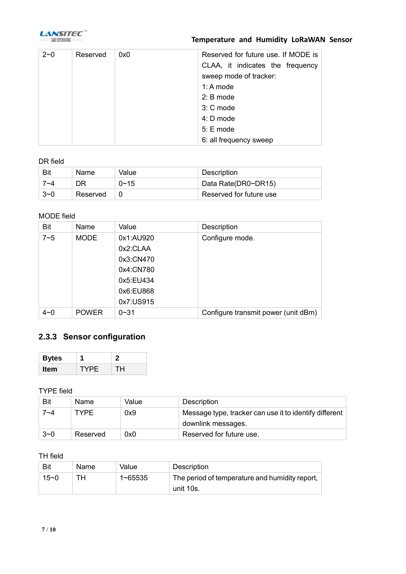

## **Temperature and Humidity LoRaWAN Sensor**

| $2 - 0$ | Reserved | 0x0 | Reserved for future use. If MODE is |
|---------|----------|-----|-------------------------------------|
|         |          |     | CLAA, it indicates the frequency    |
|         |          |     | sweep mode of tracker:              |
|         |          |     | 1: A mode                           |
|         |          |     | $2: B$ mode                         |
|         |          |     | 3: C mode                           |
|         |          |     | $4: D$ mode                         |
|         |          |     | $5: E$ mode                         |
|         |          |     | 6: all frequency sweep              |

## DR field

| Bit     | Name     | Value    | Description             |
|---------|----------|----------|-------------------------|
| 7∼4     |          | $0 - 15$ | Data Rate(DR0~DR15)     |
| $3\neg$ | Reserved |          | Reserved for future use |

## MODE field

| <b>Bit</b> | Name         | Value     | Description                         |
|------------|--------------|-----------|-------------------------------------|
| $7 - 5$    | <b>MODE</b>  | 0x1:AU920 | Configure mode.                     |
|            |              | 0x2:CLAA  |                                     |
|            |              | 0x3:CN470 |                                     |
|            |              | 0x4:CN780 |                                     |
|            |              | 0x5:EU434 |                                     |
|            |              | 0x6:EU868 |                                     |
|            |              | 0x7:US915 |                                     |
| $4 - 0$    | <b>POWER</b> | $0 - 31$  | Configure transmit power (unit dBm) |

## **2.3.3 Sensor configuration**

| <b>Bytes</b> |      |     |
|--------------|------|-----|
| ltem         | TYPE | TH. |

### TYPE field

| Bit     | Name        | Value | Description                                            |
|---------|-------------|-------|--------------------------------------------------------|
| 7~4     | <b>TYPF</b> | 0x9   | Message type, tracker can use it to identify different |
|         |             |       | downlink messages.                                     |
| $3 - 0$ | Reserved    | 0x0   | Reserved for future use.                               |

#### TH field

| Bit      | <b>Name</b> | Value   | Description                                                 |
|----------|-------------|---------|-------------------------------------------------------------|
| $15 - 0$ | тн          | 1~65535 | The period of temperature and humidity report,<br>unit 10s. |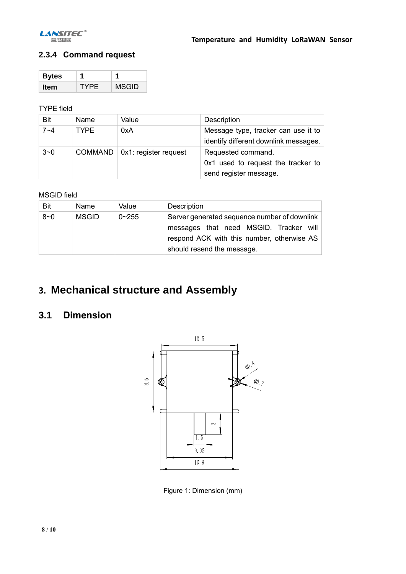

## **2.3.4 Command request**

| <b>Bytes</b> |     |              |
|--------------|-----|--------------|
| ltem         | YPF | <b>MSGID</b> |

### TYPE field

| <b>Bit</b> | Name        | Value                              | <b>Description</b>                    |
|------------|-------------|------------------------------------|---------------------------------------|
| $7 - 4$    | <b>TYPE</b> | 0xA                                | Message type, tracker can use it to   |
|            |             |                                    | identify different downlink messages. |
| $3 - 0$    |             | $COMMAND   0x1$ : register request | Requested command.                    |
|            |             |                                    | $0x1$ used to request the tracker to  |
|            |             |                                    | send register message.                |

### MSGID field

| <b>Bit</b> | Name         | Value     | Description                                                                                                                                                        |
|------------|--------------|-----------|--------------------------------------------------------------------------------------------------------------------------------------------------------------------|
| $8 - 0$    | <b>MSGID</b> | $0 - 255$ | Server generated sequence number of downlink<br>messages that need MSGID. Tracker will<br>respond ACK with this number, otherwise AS<br>should resend the message. |

# **3. Mechanical structure and Assembly**

## **3.1 Dimension**



Figure 1: Dimension (mm)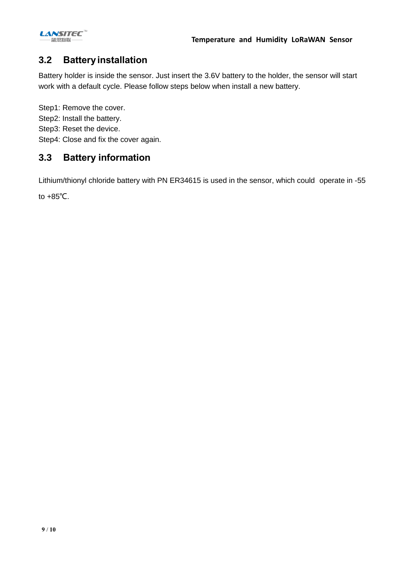

## **3.2 Batteryinstallation**

Battery holder is inside the sensor. Just insert the 3.6V battery to the holder, the sensor will start work with a default cycle. Please follow steps below when install a new battery.

Step1: Remove the cover. Step2: Install the battery. Step3: Reset the device. Step4: Close and fix the cover again.

## **3.3 Battery information**

Lithium/thionyl chloride battery with PN ER34615 is used in the sensor, which could operate in -55

to +85℃.